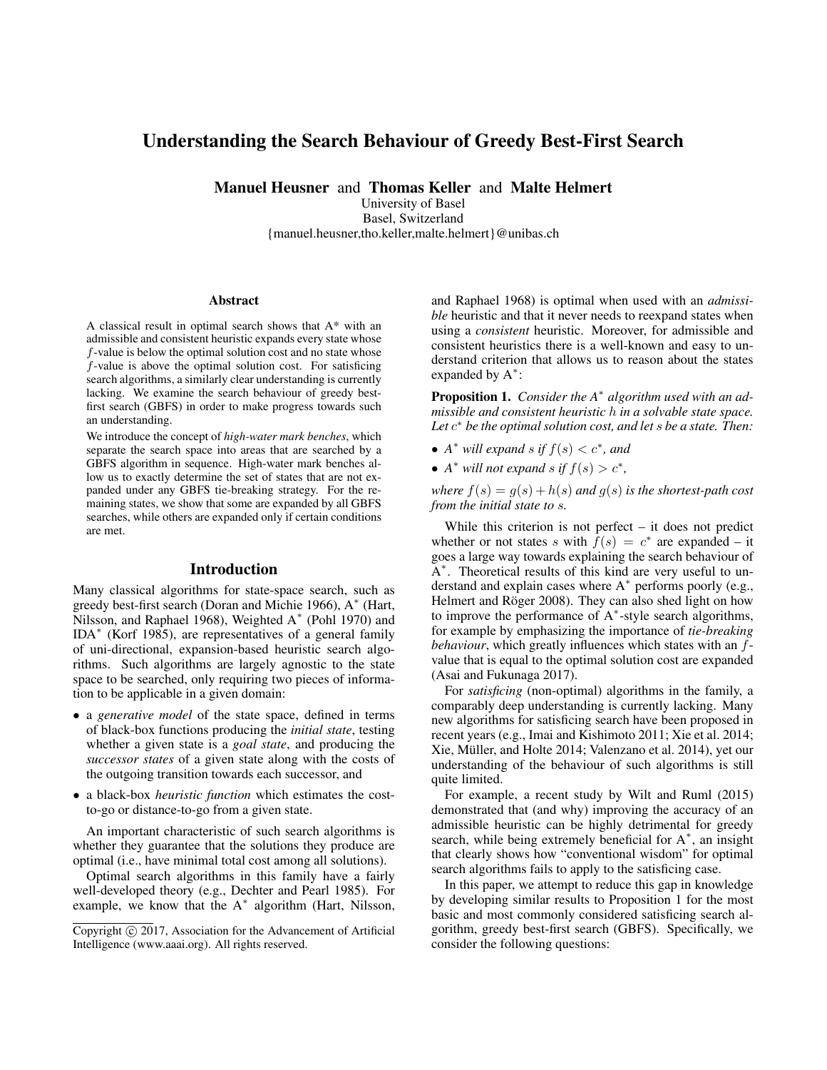# Understanding the Search Behaviour of Greedy Best-First Search

Manuel Heusner and Thomas Keller and Malte Helmert

University of Basel Basel, Switzerland {manuel.heusner,tho.keller,malte.helmert}@unibas.ch

#### Abstract

A classical result in optimal search shows that A\* with an admissible and consistent heuristic expands every state whose f-value is below the optimal solution cost and no state whose f-value is above the optimal solution cost. For satisficing search algorithms, a similarly clear understanding is currently lacking. We examine the search behaviour of greedy bestfirst search (GBFS) in order to make progress towards such an understanding.

We introduce the concept of *high-water mark benches*, which separate the search space into areas that are searched by a GBFS algorithm in sequence. High-water mark benches allow us to exactly determine the set of states that are not expanded under any GBFS tie-breaking strategy. For the remaining states, we show that some are expanded by all GBFS searches, while others are expanded only if certain conditions are met.

## Introduction

Many classical algorithms for state-space search, such as greedy best-first search (Doran and Michie 1966), A<sup>∗</sup> (Hart, Nilsson, and Raphael 1968), Weighted A<sup>∗</sup> (Pohl 1970) and IDA<sup>∗</sup> (Korf 1985), are representatives of a general family of uni-directional, expansion-based heuristic search algorithms. Such algorithms are largely agnostic to the state space to be searched, only requiring two pieces of information to be applicable in a given domain:

- a *generative model* of the state space, defined in terms of black-box functions producing the *initial state*, testing whether a given state is a *goal state*, and producing the *successor states* of a given state along with the costs of the outgoing transition towards each successor, and
- a black-box *heuristic function* which estimates the costto-go or distance-to-go from a given state.

An important characteristic of such search algorithms is whether they guarantee that the solutions they produce are optimal (i.e., have minimal total cost among all solutions).

Optimal search algorithms in this family have a fairly well-developed theory (e.g., Dechter and Pearl 1985). For example, we know that the A<sup>∗</sup> algorithm (Hart, Nilsson,

and Raphael 1968) is optimal when used with an *admissible* heuristic and that it never needs to reexpand states when using a *consistent* heuristic. Moreover, for admissible and consistent heuristics there is a well-known and easy to understand criterion that allows us to reason about the states expanded by  $A^*$ :

Proposition 1. *Consider the A*<sup>∗</sup> *algorithm used with an admissible and consistent heuristic* h *in a solvable state space. Let* c <sup>∗</sup> *be the optimal solution cost, and let* s *be a state. Then:*

- $A^*$  *will expand s if*  $f(s) < c^*$ *, and*
- $A^*$  *will not expand s if*  $f(s) > c^*$ ,

*where*  $f(s) = g(s) + h(s)$  *and*  $g(s)$  *is the shortest-path cost from the initial state to* s*.*

While this criterion is not perfect – it does not predict whether or not states s with  $\hat{f}(s) = c^*$  are expanded – it goes a large way towards explaining the search behaviour of A<sup>\*</sup>. Theoretical results of this kind are very useful to understand and explain cases where A<sup>\*</sup> performs poorly (e.g., Helmert and Röger 2008). They can also shed light on how to improve the performance of A<sup>∗</sup> -style search algorithms, for example by emphasizing the importance of *tie-breaking behaviour*, which greatly influences which states with an fvalue that is equal to the optimal solution cost are expanded (Asai and Fukunaga 2017).

For *satisficing* (non-optimal) algorithms in the family, a comparably deep understanding is currently lacking. Many new algorithms for satisficing search have been proposed in recent years (e.g., Imai and Kishimoto 2011; Xie et al. 2014; Xie, Müller, and Holte 2014; Valenzano et al. 2014), yet our understanding of the behaviour of such algorithms is still quite limited.

For example, a recent study by Wilt and Ruml (2015) demonstrated that (and why) improving the accuracy of an admissible heuristic can be highly detrimental for greedy search, while being extremely beneficial for A<sup>\*</sup>, an insight that clearly shows how "conventional wisdom" for optimal search algorithms fails to apply to the satisficing case.

In this paper, we attempt to reduce this gap in knowledge by developing similar results to Proposition 1 for the most basic and most commonly considered satisficing search algorithm, greedy best-first search (GBFS). Specifically, we consider the following questions:

Copyright  $\odot$  2017, Association for the Advancement of Artificial Intelligence (www.aaai.org). All rights reserved.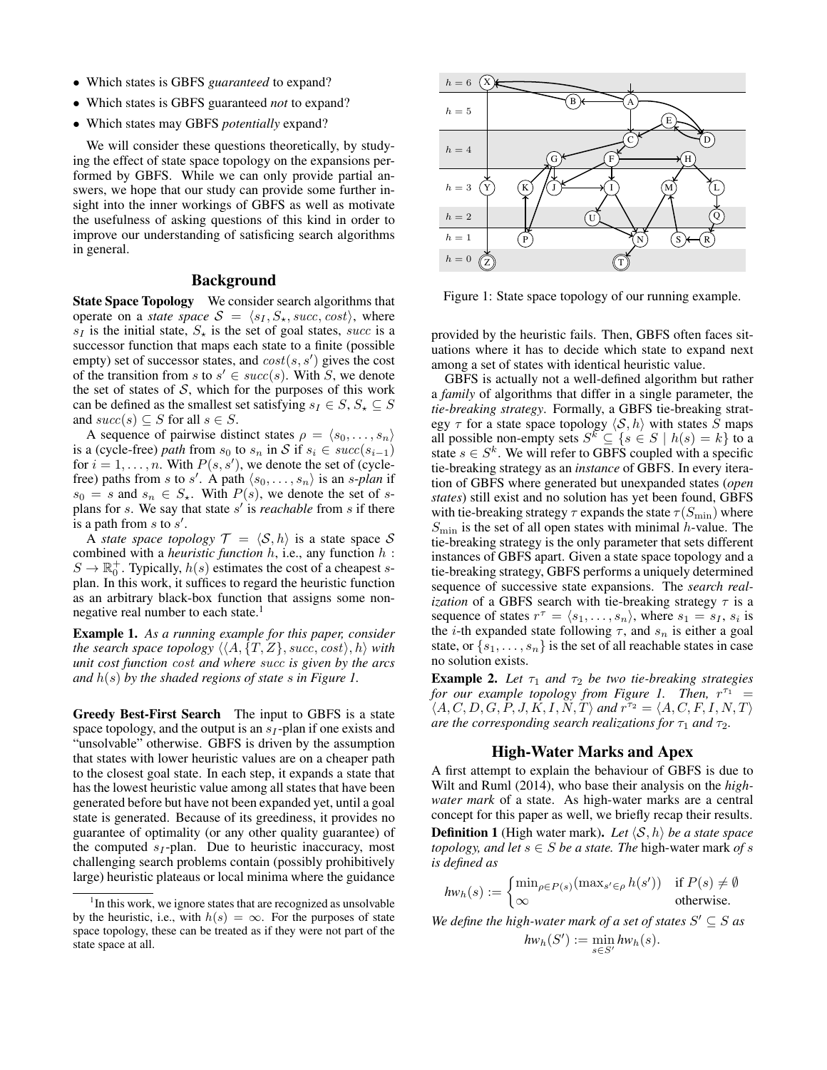- Which states is GBFS *guaranteed* to expand?
- Which states is GBFS guaranteed *not* to expand?
- Which states may GBFS *potentially* expand?

We will consider these questions theoretically, by studying the effect of state space topology on the expansions performed by GBFS. While we can only provide partial answers, we hope that our study can provide some further insight into the inner workings of GBFS as well as motivate the usefulness of asking questions of this kind in order to improve our understanding of satisficing search algorithms in general.

### Background

State Space Topology We consider search algorithms that operate on a *state space*  $S = \langle s_1, S_\star, succ, cost \rangle$ , where  $s_I$  is the initial state,  $S_{\star}$  is the set of goal states, *succ* is a successor function that maps each state to a finite (possible empty) set of successor states, and  $cost(s, s')$  gives the cost of the transition from s to  $s' \in succ(s)$ . With S, we denote the set of states of  $S$ , which for the purposes of this work can be defined as the smallest set satisfying  $s_I \in S$ ,  $S_{\star} \subseteq S$ and  $succ(s) \subseteq S$  for all  $s \in S$ .

A sequence of pairwise distinct states  $\rho = \langle s_0, \ldots, s_n \rangle$ is a (cycle-free) *path* from  $s_0$  to  $s_n$  in S if  $s_i \in succ(s_{i-1})$ for  $i = 1, \ldots, n$ . With  $P(s, s')$ , we denote the set of (cyclefree) paths from s to s'. A path  $\langle s_0, \ldots, s_n \rangle$  is an s-*plan* if  $s_0 = s$  and  $s_n \in S_*$ . With  $P(s)$ , we denote the set of splans for  $s$ . We say that state  $s'$  is *reachable* from  $s$  if there is a path from  $s$  to  $s'$ .

A *state space topology*  $\mathcal{T} = \langle \mathcal{S}, h \rangle$  is a state space S combined with a *heuristic function* h, i.e., any function h :  $S \to \mathbb{R}^+_0$ . Typically,  $h(s)$  estimates the cost of a cheapest splan. In this work, it suffices to regard the heuristic function as an arbitrary black-box function that assigns some nonnegative real number to each state.<sup>1</sup>

Example 1. *As a running example for this paper, consider the search space topology*  $\langle \langle A, \{T, Z\}, \textit{succ}, \textit{cost} \rangle, h \rangle$  *with unit cost function* cost *and where* succ *is given by the arcs and* h(s) *by the shaded regions of state* s *in Figure 1.*

Greedy Best-First Search The input to GBFS is a state space topology, and the output is an  $s_I$ -plan if one exists and "unsolvable" otherwise. GBFS is driven by the assumption that states with lower heuristic values are on a cheaper path to the closest goal state. In each step, it expands a state that has the lowest heuristic value among all states that have been generated before but have not been expanded yet, until a goal state is generated. Because of its greediness, it provides no guarantee of optimality (or any other quality guarantee) of the computed  $s_I$ -plan. Due to heuristic inaccuracy, most challenging search problems contain (possibly prohibitively large) heuristic plateaus or local minima where the guidance



Figure 1: State space topology of our running example.

provided by the heuristic fails. Then, GBFS often faces situations where it has to decide which state to expand next among a set of states with identical heuristic value.

GBFS is actually not a well-defined algorithm but rather a *family* of algorithms that differ in a single parameter, the *tie-breaking strategy*. Formally, a GBFS tie-breaking strategy  $\tau$  for a state space topology  $\langle S, h \rangle$  with states S maps all possible non-empty sets  $S^k \subseteq \{ s \in S \mid h(s) = k \}$  to a state  $s \in S^k$ . We will refer to GBFS coupled with a specific tie-breaking strategy as an *instance* of GBFS. In every iteration of GBFS where generated but unexpanded states (*open states*) still exist and no solution has yet been found, GBFS with tie-breaking strategy  $\tau$  expands the state  $\tau(S_{\text{min}})$  where  $S_{\text{min}}$  is the set of all open states with minimal h-value. The tie-breaking strategy is the only parameter that sets different instances of GBFS apart. Given a state space topology and a tie-breaking strategy, GBFS performs a uniquely determined sequence of successive state expansions. The *search realization* of a GBFS search with tie-breaking strategy  $\tau$  is a sequence of states  $r^{\tau} = \langle s_1, \ldots, s_n \rangle$ , where  $s_1 = s_I$ ,  $s_i$  is the *i*-th expanded state following  $\tau$ , and  $s_n$  is either a goal state, or  $\{s_1, \ldots, s_n\}$  is the set of all reachable states in case no solution exists.

**Example 2.** Let  $\tau_1$  and  $\tau_2$  be two tie-breaking strategies for our example topology from Figure 1. Then,  $r^{\tau_1}$  =  $\langle A, C, D, G, P, J, K, I, N, T \rangle$  and  $r^{\tau_2} = \langle A, C, F, I, N, T \rangle$ *are the corresponding search realizations for*  $\tau_1$  *and*  $\tau_2$ *.* 

## High-Water Marks and Apex

A first attempt to explain the behaviour of GBFS is due to Wilt and Ruml (2014), who base their analysis on the *highwater mark* of a state. As high-water marks are a central concept for this paper as well, we briefly recap their results. **Definition 1** (High water mark). Let  $\langle S, h \rangle$  be a state space *topology, and let*  $s \in S$  *be a state. The high-water mark of* s *is defined as*

$$
hw_h(s) := \begin{cases} \min_{\rho \in P(s)} (\max_{s' \in \rho} h(s')) & \text{if } P(s) \neq \emptyset \\ \infty & \text{otherwise.} \end{cases}
$$

We define the high-water mark of a set of states  $S' \subseteq S$  as  $hw_h(S') := \min_{s \in S'} hw_h(s).$ 

<sup>&</sup>lt;sup>1</sup>In this work, we ignore states that are recognized as unsolvable by the heuristic, i.e., with  $h(s) = \infty$ . For the purposes of state space topology, these can be treated as if they were not part of the state space at all.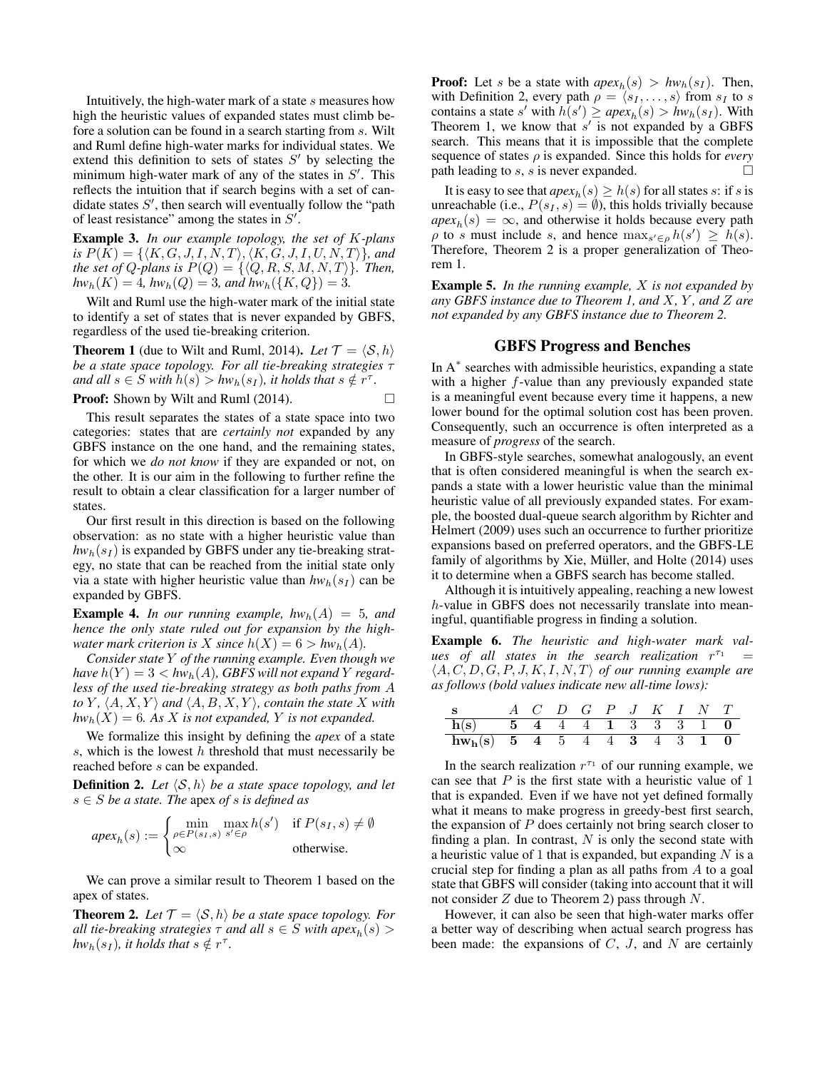Intuitively, the high-water mark of a state s measures how high the heuristic values of expanded states must climb before a solution can be found in a search starting from s. Wilt and Ruml define high-water marks for individual states. We extend this definition to sets of states  $S'$  by selecting the minimum high-water mark of any of the states in  $S'$ . This reflects the intuition that if search begins with a set of candidate states  $S'$ , then search will eventually follow the "path of least resistance" among the states in  $S'$ .

Example 3. *In our example topology, the set of* K*-plans is*  $P(K) = \{ \langle K, G, J, I, N, T \rangle, \langle K, G, J, I, U, N, T \rangle \}$ *, and the set of Q-plans is*  $P(Q) = \{ \langle Q, R, S, M, N, T \rangle \}$ *. Then,*  $hw_h(K) = 4$ *,*  $hw_h(Q) = 3$ *, and*  $hw_h({K, Q}) = 3$ *.* 

Wilt and Ruml use the high-water mark of the initial state to identify a set of states that is never expanded by GBFS, regardless of the used tie-breaking criterion.

**Theorem 1** (due to Wilt and Ruml, 2014). Let  $\mathcal{T} = \langle \mathcal{S}, h \rangle$ *be a state space topology. For all tie-breaking strategies* τ *and all*  $s \in S$  *with*  $h(s) > hw_h(s_I)$ *, it holds that*  $s \notin r^{\tau}$ *.* 

**Proof:** Shown by Wilt and Ruml (2014). □

This result separates the states of a state space into two categories: states that are *certainly not* expanded by any GBFS instance on the one hand, and the remaining states, for which we *do not know* if they are expanded or not, on the other. It is our aim in the following to further refine the result to obtain a clear classification for a larger number of states.

Our first result in this direction is based on the following observation: as no state with a higher heuristic value than  $hw_h(s_I)$  is expanded by GBFS under any tie-breaking strategy, no state that can be reached from the initial state only via a state with higher heuristic value than  $hw_h(s_I)$  can be expanded by GBFS.

**Example 4.** In our running example,  $hw_h(A) = 5$ , and *hence the only state ruled out for expansion by the highwater mark criterion is* X *since*  $h(X) = 6 > hw_h(A)$ .

*Consider state* Y *of the running example. Even though we have*  $h(Y) = 3 < h w_h(A)$ , *GBFS will not expand* Y *regardless of the used tie-breaking strategy as both paths from* A *to Y*,  $\langle A, X, Y \rangle$  *and*  $\langle A, B, X, Y \rangle$ *, contain the state X with*  $hw_h(X) = 6$ *. As* X *is not expanded,* Y *is not expanded.* 

We formalize this insight by defining the *apex* of a state s, which is the lowest  $h$  threshold that must necessarily be reached before s can be expanded.

**Definition 2.** Let  $\langle \mathcal{S}, h \rangle$  be a state space topology, and let s ∈ S *be a state. The* apex *of* s *is defined as*

$$
apex_h(s) := \begin{cases} \min_{\rho \in P(s_I, s)} \max_{s' \in \rho} h(s') & \text{if } P(s_I, s) \neq \emptyset \\ \infty & \text{otherwise.} \end{cases}
$$

We can prove a similar result to Theorem 1 based on the apex of states.

**Theorem 2.** Let  $\mathcal{T} = \langle \mathcal{S}, h \rangle$  *be a state space topology. For all tie-breaking strategies*  $\tau$  *and all*  $s \in S$  *with apex* $_h(s)$   $>$  $hw_h(s_I)$ *, it holds that*  $s \notin r^{\tau}$ *.* 

**Proof:** Let s be a state with  $apex_h(s) > hw_h(s_I)$ . Then, with Definition 2, every path  $\rho = \langle s_1, \ldots, s \rangle$  from  $s_I$  to s contains a state s' with  $h(s') \geq a p e x_h(s) > h w_h(s_I)$ . With Theorem 1, we know that  $s'$  is not expanded by a GBFS search. This means that it is impossible that the complete sequence of states ρ is expanded. Since this holds for *every* path leading to s, s is never expanded.  $\square$ 

It is easy to see that  $apex_h(s) \geq h(s)$  for all states s: if s is unreachable (i.e.,  $P(s_I, s) = \emptyset$ ), this holds trivially because  $apex<sub>h</sub>(s) = \infty$ , and otherwise it holds because every path  $\rho$  to s must include s, and hence  $\max_{s' \in \rho} h(s') \geq h(s)$ . Therefore, Theorem 2 is a proper generalization of Theorem 1.

Example 5. *In the running example,* X *is not expanded by any GBFS instance due to Theorem 1, and* X*,* Y *, and* Z *are not expanded by any GBFS instance due to Theorem 2.*

#### GBFS Progress and Benches

In A<sup>\*</sup> searches with admissible heuristics, expanding a state with a higher  $f$ -value than any previously expanded state is a meaningful event because every time it happens, a new lower bound for the optimal solution cost has been proven. Consequently, such an occurrence is often interpreted as a measure of *progress* of the search.

In GBFS-style searches, somewhat analogously, an event that is often considered meaningful is when the search expands a state with a lower heuristic value than the minimal heuristic value of all previously expanded states. For example, the boosted dual-queue search algorithm by Richter and Helmert (2009) uses such an occurrence to further prioritize expansions based on preferred operators, and the GBFS-LE family of algorithms by Xie, Müller, and Holte (2014) uses it to determine when a GBFS search has become stalled.

Although it is intuitively appealing, reaching a new lowest h-value in GBFS does not necessarily translate into meaningful, quantifiable progress in finding a solution.

Example 6. *The heuristic and high-water mark val* $ues$  of all states in the search realization  $r^{\tau_1}$  =  $\langle A, C, D, G, P, J, K, I, N, T \rangle$  of our running example are *as follows (bold values indicate new all-time lows):*

| <sub>S</sub>                  |  |  |  | $A$ $C$ $D$ $G$ $P$ $J$ $K$ $I$ $N$ $T$ |  |  |
|-------------------------------|--|--|--|-----------------------------------------|--|--|
| $h(s)$ 5 4 4 4 1 3 3 3 1 0    |  |  |  |                                         |  |  |
| $hw_h(s)$ 5 4 5 4 4 3 4 3 1 0 |  |  |  |                                         |  |  |

In the search realization  $r^{\tau_1}$  of our running example, we can see that  $P$  is the first state with a heuristic value of 1 that is expanded. Even if we have not yet defined formally what it means to make progress in greedy-best first search, the expansion of  $P$  does certainly not bring search closer to finding a plan. In contrast,  $N$  is only the second state with a heuristic value of 1 that is expanded, but expanding  $N$  is a crucial step for finding a plan as all paths from A to a goal state that GBFS will consider (taking into account that it will not consider  $Z$  due to Theorem 2) pass through  $N$ .

However, it can also be seen that high-water marks offer a better way of describing when actual search progress has been made: the expansions of  $C$ ,  $J$ , and  $N$  are certainly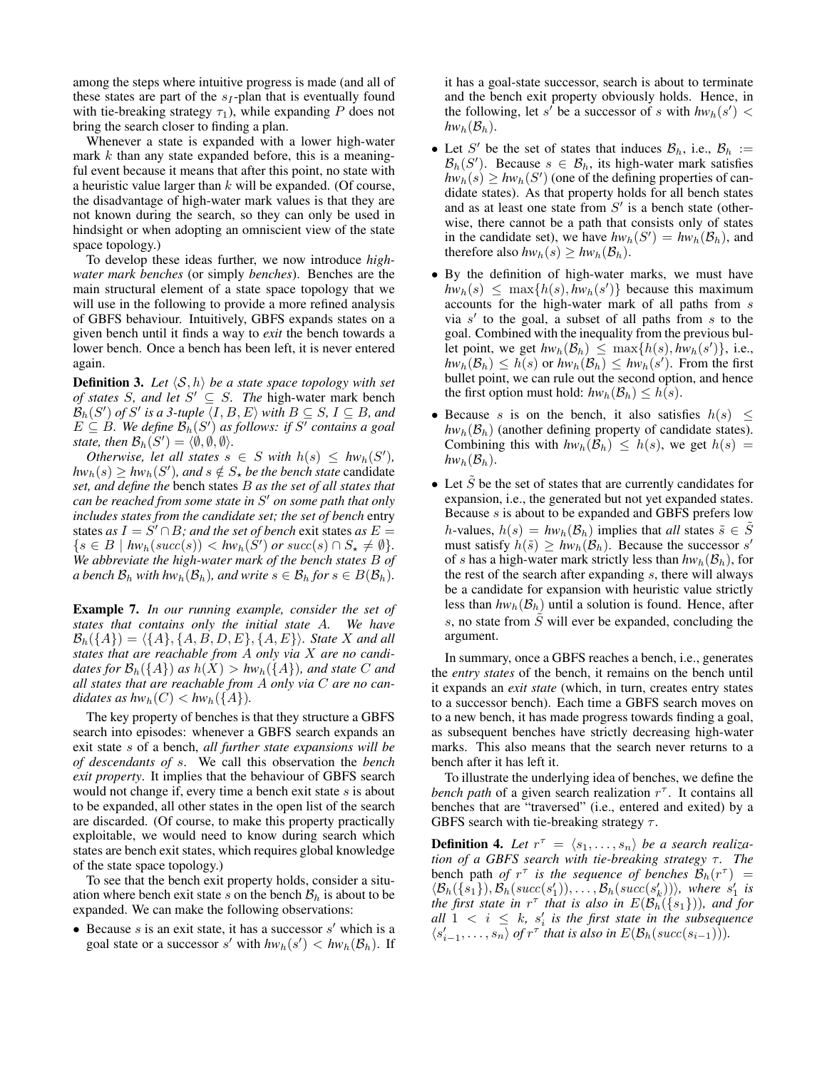among the steps where intuitive progress is made (and all of these states are part of the  $s_I$ -plan that is eventually found with tie-breaking strategy  $\tau_1$ ), while expanding P does not bring the search closer to finding a plan.

Whenever a state is expanded with a lower high-water mark  $k$  than any state expanded before, this is a meaningful event because it means that after this point, no state with a heuristic value larger than  $k$  will be expanded. (Of course, the disadvantage of high-water mark values is that they are not known during the search, so they can only be used in hindsight or when adopting an omniscient view of the state space topology.)

To develop these ideas further, we now introduce *highwater mark benches* (or simply *benches*). Benches are the main structural element of a state space topology that we will use in the following to provide a more refined analysis of GBFS behaviour. Intuitively, GBFS expands states on a given bench until it finds a way to *exit* the bench towards a lower bench. Once a bench has been left, it is never entered again.

**Definition 3.** Let  $\langle S, h \rangle$  be a state space topology with set *of states* S, and let  $S' \subseteq S$ . The high-water mark bench  $\mathcal{B}_h(S')$  of  $S'$  is a 3-tuple  $\langle I, B, E \rangle$  with  $B \subseteq S$ ,  $I \subseteq B$ *, and*  $E \subseteq B$ *. We define*  $\mathcal{B}_h(S')$  as follows: if S' contains a goal *state, then*  $\mathcal{B}_h(S') = \langle \emptyset, \emptyset, \emptyset \rangle$ .

*Otherwise, let all states*  $s \in S$  *with*  $h(s) \leq hw_h(S')$ ,  $hw_h(s) \geq hw_h(S')$ , and  $s \notin S_\star$  *be the bench state* candidate *set, and define the* bench states B *as the set of all states that can be reached from some state in* S <sup>0</sup> *on some path that only includes states from the candidate set; the set of bench* entry states *as*  $I = S' \cap B$ *; and the set of bench* exit states *as*  $E =$  $\{s \in B \mid hw_h(succ(s)) < hw_h(S') \text{ or } succ(s) \cap S_{\star} \neq \emptyset\}.$ *We abbreviate the high-water mark of the bench states* B *of a bench*  $\mathcal{B}_h$  *with hw<sub>h</sub>*( $\mathcal{B}_h$ )*, and write*  $s \in \mathcal{B}_h$  *for*  $s \in B(\mathcal{B}_h)$ *.* 

Example 7. *In our running example, consider the set of states that contains only the initial state* A*. We have*  $\mathcal{B}_{h}(\{A\}) = \langle \{A\}, \{A, B, D, E\}, \{A, E\}\rangle$ *. State X and all states that are reachable from* A *only via* X *are no candidates for*  $\mathcal{B}_h({A})$  *as*  $h(X) > hw_h({A})$ *, and state C and all states that are reachable from* A *only via* C *are no candidates as*  $hw_h(C) < hw_h(\lbrace A \rbrace)$ *.* 

The key property of benches is that they structure a GBFS search into episodes: whenever a GBFS search expands an exit state s of a bench, *all further state expansions will be of descendants of* s. We call this observation the *bench exit property*. It implies that the behaviour of GBFS search would not change if, every time a bench exit state s is about to be expanded, all other states in the open list of the search are discarded. (Of course, to make this property practically exploitable, we would need to know during search which states are bench exit states, which requires global knowledge of the state space topology.)

To see that the bench exit property holds, consider a situation where bench exit state s on the bench  $B_h$  is about to be expanded. We can make the following observations:

• Because  $s$  is an exit state, it has a successor  $s'$  which is a goal state or a successor s' with  $hw_h(s') < hw_h(\mathcal{B}_h)$ . If it has a goal-state successor, search is about to terminate and the bench exit property obviously holds. Hence, in the following, let s<sup>*i*</sup> be a successor of s with  $hw_h(s')$  <  $hw_h(\mathcal{B}_h)$ .

- Let S' be the set of states that induces  $\mathcal{B}_h$ , i.e.,  $\mathcal{B}_h$  :=  $\mathcal{B}_h(S')$ . Because  $s \in \mathcal{B}_h$ , its high-water mark satisfies  $hw_h(s) \geq hw_h(S')$  (one of the defining properties of candidate states). As that property holds for all bench states and as at least one state from  $S'$  is a bench state (otherwise, there cannot be a path that consists only of states in the candidate set), we have  $hw_h(S') = hw_h(\mathcal{B}_h)$ , and therefore also  $hw_h(s) \geq hw_h(\mathcal{B}_h)$ .
- By the definition of high-water marks, we must have  $hw_h(s) \leq \max\{h(s), hw_h(s')\}$  because this maximum accounts for the high-water mark of all paths from s via  $s'$  to the goal, a subset of all paths from  $s$  to the goal. Combined with the inequality from the previous bullet point, we get  $hw_h(\mathcal{B}_h) \leq \max\{h(s), hw_h(s')\}$ , i.e.,  $hw_h(\mathcal{B}_h) \leq h(s)$  or  $hw_h(\mathcal{B}_h) \leq hw_h(s')$ . From the first bullet point, we can rule out the second option, and hence the first option must hold:  $hw_h(\mathcal{B}_h) \leq h(s)$ .
- Because s is on the bench, it also satisfies  $h(s) \leq$  $hw_h(\mathcal{B}_h)$  (another defining property of candidate states). Combining this with  $hw_h(\mathcal{B}_h) \leq h(s)$ , we get  $h(s) =$  $hw_h(\mathcal{B}_h)$ .
- $\bullet$  Let S be the set of states that are currently candidates for expansion, i.e., the generated but not yet expanded states. Because s is about to be expanded and GBFS prefers low h-values,  $h(s) = hw_h(\mathcal{B}_h)$  implies that *all* states  $\tilde{s} \in S$ must satisfy  $h(\tilde{s}) \geq h w_h(\mathcal{B}_h)$ . Because the successor s' of s has a high-water mark strictly less than  $hw_h(\mathcal{B}_h)$ , for the rest of the search after expanding  $s$ , there will always be a candidate for expansion with heuristic value strictly less than  $hw_h(\mathcal{B}_h)$  until a solution is found. Hence, after s, no state from  $\tilde{S}$  will ever be expanded, concluding the argument.

In summary, once a GBFS reaches a bench, i.e., generates the *entry states* of the bench, it remains on the bench until it expands an *exit state* (which, in turn, creates entry states to a successor bench). Each time a GBFS search moves on to a new bench, it has made progress towards finding a goal, as subsequent benches have strictly decreasing high-water marks. This also means that the search never returns to a bench after it has left it.

To illustrate the underlying idea of benches, we define the bench path of a given search realization  $r^{\tau}$ . It contains all benches that are "traversed" (i.e., entered and exited) by a GBFS search with tie-breaking strategy  $\tau$ .

**Definition 4.** Let  $r^{\tau} = \langle s_1, \ldots, s_n \rangle$  be a search realiza*tion of a GBFS search with tie-breaking strategy τ. The* bench path *of*  $r^{\tau}$  *is the sequence of benches*  $\mathcal{B}_h(r^{\tau}) =$  $\langle \mathcal{B}_h(\lbrace s_1 \rbrace), \mathcal{B}_h(succ(s_1')), \ldots, \mathcal{B}_h(succ(s_k')) \rangle$ , where  $s_1'$  is *the first state in*  $r^{\tau}$  *that is also in*  $E(\mathcal{B}_h(\{s_1\}))$ *, and for*  $all \ 1 \ < \ i \ \leq \ k, \ s_i' \ is \ the \ first \ state \ in \ the \ subsequence$  $\langle s_{i-1}', \ldots, s_n \rangle$  of  $r^{\tau}$  that is also in  $E(\mathcal{B}_h(succ(s_{i-1})))$ .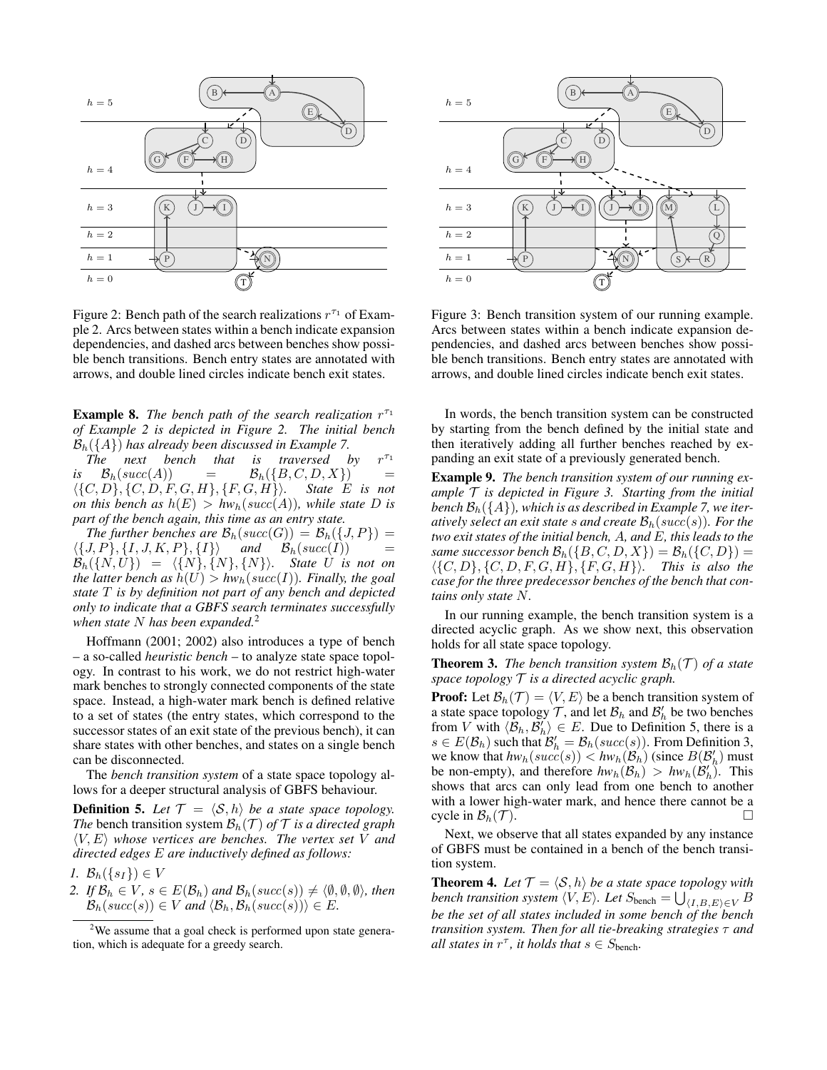

Figure 2: Bench path of the search realizations  $r^{\tau_1}$  of Example 2. Arcs between states within a bench indicate expansion dependencies, and dashed arcs between benches show possible bench transitions. Bench entry states are annotated with arrows, and double lined circles indicate bench exit states.

**Example 8.** The bench path of the search realization  $r^{\tau_1}$ *of Example 2 is depicted in Figure 2. The initial bench*

 $\mathcal{B}_h({A})$  has already been discussed in Example 7.<br>The next bench that is traversed l *is traversed by*  $r^{\tau_1}$  $\mathcal{B}_h(succ(A)) = \mathcal{B}_h(\lbrace B, C, D, X \rbrace) =$  $\langle {C, D}, {C, D}, F, G, H} \, , {F, G, H} \rangle.$  State E is not *on this bench as*  $h(E) > hw_h(succ(A))$ *, while state D is part of the bench again, this time as an entry state.*

*The further benches are*  $\mathcal{B}_h(succ(G)) = \mathcal{B}_h({J, P}) =$  $\langle \{J, P\}, \{I, J, K, P\}, \{I\} \rangle$  and  $\mathcal{B}_h(succ(I))$  =  $\mathcal{B}_{h}(\{N,U\}) = \langle \{N\}, \{N\}, \{N\}\rangle$ *.* State U is not on *the latter bench as*  $h(U) > hw_h(succ(I))$ *. Finally, the goal state* T *is by definition not part of any bench and depicted only to indicate that a GBFS search terminates successfully when state* N *has been expanded.*<sup>2</sup>

Hoffmann (2001; 2002) also introduces a type of bench – a so-called *heuristic bench* – to analyze state space topology. In contrast to his work, we do not restrict high-water mark benches to strongly connected components of the state space. Instead, a high-water mark bench is defined relative to a set of states (the entry states, which correspond to the successor states of an exit state of the previous bench), it can share states with other benches, and states on a single bench can be disconnected.

The *bench transition system* of a state space topology allows for a deeper structural analysis of GBFS behaviour.

**Definition 5.** Let  $\mathcal{T} = \langle \mathcal{S}, h \rangle$  be a state space topology. *The* bench transition system  $\mathcal{B}_h(\mathcal{T})$  *of*  $\mathcal{T}$  *is a directed graph*  $\langle V, E \rangle$  *whose vertices are benches. The vertex set* V *and directed edges* E *are inductively defined as follows:*

$$
I. \mathcal{B}_h(\{s_I\}) \in V
$$

*2. If*  $\mathcal{B}_h \in V$ ,  $s \in E(\mathcal{B}_h)$  *and*  $\mathcal{B}_h(succ(s)) \neq \langle \emptyset, \emptyset, \emptyset \rangle$ *, then*  $\mathcal{B}_h(succ(s)) \in V$  and  $\langle \mathcal{B}_h, \mathcal{B}_h(succ(s)) \rangle \in E$ *.* 



Figure 3: Bench transition system of our running example. Arcs between states within a bench indicate expansion dependencies, and dashed arcs between benches show possible bench transitions. Bench entry states are annotated with arrows, and double lined circles indicate bench exit states.

In words, the bench transition system can be constructed by starting from the bench defined by the initial state and then iteratively adding all further benches reached by expanding an exit state of a previously generated bench.

Example 9. *The bench transition system of our running example* T *is depicted in Figure 3. Starting from the initial bench*  $\mathcal{B}_h({A})$ *, which is as described in Example 7, we iteratively select an exit state* s *and create*  $\mathcal{B}_h(succ(s))$ *. For the two exit states of the initial bench,* A*, and* E*, this leads to the same successor bench*  $\mathcal{B}_h({B, C, D, X}) = \mathcal{B}_h({C, D}) =$  $\langle \{C, D\}, \{C, D, F, G, H\}, \{F, G, H\}\rangle$ *. This is also the case for the three predecessor benches of the bench that contains only state* N*.*

In our running example, the bench transition system is a directed acyclic graph. As we show next, this observation holds for all state space topology.

**Theorem 3.** *The bench transition system*  $\mathcal{B}_h(\mathcal{T})$  *of a state space topology* T *is a directed acyclic graph.*

**Proof:** Let  $\mathcal{B}_h(\mathcal{T}) = \langle V, E \rangle$  be a bench transition system of a state space topology  $\mathcal{T}$ , and let  $\mathcal{B}_h$  and  $\mathcal{B}'_h$  be two benches from V with  $\langle \mathcal{B}_h, \mathcal{B}'_h \rangle \in E$ . Due to Definition 5, there is a  $s \in E(\mathcal{B}_h)$  such that  $\mathcal{B}'_h = \mathcal{B}_h(succ(s))$ . From Definition 3, we know that  $hw_h(succ(s)) < hw_h(\mathcal{B}_h)$  (since  $B(\mathcal{B}_h')$  must be non-empty), and therefore  $hw_h(\mathcal{B}_h) > hw_h(\mathcal{B}'_h)$ . This shows that arcs can only lead from one bench to another with a lower high-water mark, and hence there cannot be a cycle in  $\mathcal{B}_h(\mathcal{T})$ .

Next, we observe that all states expanded by any instance of GBFS must be contained in a bench of the bench transition system.

**Theorem 4.** Let  $\mathcal{T} = \langle \mathcal{S}, h \rangle$  *be a state space topology with* bench transition system  $\langle V, E \rangle$ . Let  $S_{\text{bench}} = \bigcup_{\langle I, B, E \rangle \in V} B$ *be the set of all states included in some bench of the bench transition system. Then for all tie-breaking strategies* τ *and all states in*  $r^{\tau}$ *, it holds that*  $s \in S_{\text{bench}}$ *.* 

<sup>&</sup>lt;sup>2</sup>We assume that a goal check is performed upon state generation, which is adequate for a greedy search.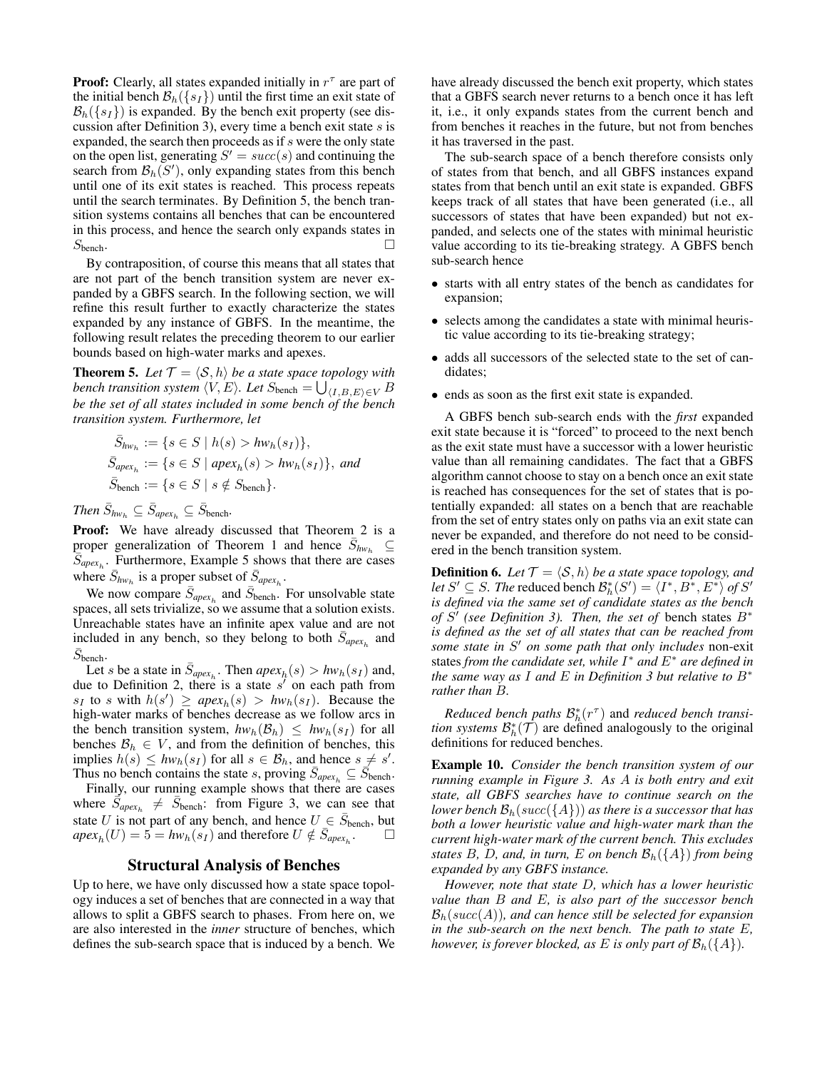**Proof:** Clearly, all states expanded initially in  $r^{\tau}$  are part of the initial bench  $\mathcal{B}_h({s_I})$  until the first time an exit state of  $\mathcal{B}_{h}(\lbrace s_{I} \rbrace)$  is expanded. By the bench exit property (see discussion after Definition 3), every time a bench exit state  $s$  is expanded, the search then proceeds as if s were the only state on the open list, generating  $S' = succ(s)$  and continuing the search from  $\mathcal{B}_h(S')$ , only expanding states from this bench until one of its exit states is reached. This process repeats until the search terminates. By Definition 5, the bench transition systems contains all benches that can be encountered in this process, and hence the search only expands states in  $S_{\text{bench}}$ .

By contraposition, of course this means that all states that are not part of the bench transition system are never expanded by a GBFS search. In the following section, we will refine this result further to exactly characterize the states expanded by any instance of GBFS. In the meantime, the following result relates the preceding theorem to our earlier bounds based on high-water marks and apexes.

**Theorem 5.** Let  $\mathcal{T} = \langle \mathcal{S}, h \rangle$  *be a state space topology with* bench transition system  $\langle V, E \rangle$ . Let  $S_{\text{bench}} = \bigcup_{\langle I, B, E \rangle \in V} B$ *be the set of all states included in some bench of the bench transition system. Furthermore, let*

$$
\begin{aligned} \bar{S}_{hw_h} &:= \{ s \in S \mid h(s) > hw_h(s_I) \}, \\ \bar{S}_{apex_h} &:= \{ s \in S \mid aper_h(s) > hw_h(s_I) \}, \text{ and } \\ \bar{S}_{bench} &:= \{ s \in S \mid s \notin S_{bench} \}. \end{aligned}
$$

 $\overline{B}_{hw_h} \subseteq \overline{S}_{apex_h} \subseteq \overline{S}_{bench}$ .

**Proof:** We have already discussed that Theorem 2 is a proper generalization of Theorem 1 and hence  $\bar{S}_{hw_h} \subseteq$  $S_{apex_h}$ . Furthermore, Example 5 shows that there are cases where  $\bar{S}_{hw_h}$  is a proper subset of  $\bar{S}_{apex_h}$ .

We now compare  $\bar{S}_{apex_h}$  and  $\bar{S}_{bench}$ . For unsolvable state spaces, all sets trivialize, so we assume that a solution exists. Unreachable states have an infinite apex value and are not included in any bench, so they belong to both  $\bar{S}_{apex_h}$  and  $\bar{S}_{\text{bench}}$ .

Let s be a state in  $\bar{S}_{apex_h}$ . Then  $apex_h(s) > hw_h(s_I)$  and, due to Definition 2, there is a state  $s'$  on each path from  $s_I$  to s with  $h(s') \geq a \rho \varepsilon x_h(s) > h w_h(s_I)$ . Because the high-water marks of benches decrease as we follow arcs in the bench transition system,  $hw_h(\mathcal{B}_h) \leq hw_h(s_I)$  for all benches  $\mathcal{B}_h \in V$ , and from the definition of benches, this implies  $h(s) \leq hw_h(s_I)$  for all  $s \in \mathcal{B}_h$ , and hence  $s \neq s'$ . Thus no bench contains the state s, proving  $\overline{S}_{apex_h} \subseteq \overline{S}_{bench}$ .

Finally, our running example shows that there are cases where  $\vec{S}_{apex_h} \neq \vec{S}_{\text{bench}}$ : from Figure 3, we can see that state U is not part of any bench, and hence  $U \text{ }\in \text{ } \bar{S}_{\text{bench}}$ , but  $apex_{h}(U) = 5 = hw_{h}(s_{I})$  and therefore  $U \notin \overline{S}_{apex_{h}}$ . □

## Structural Analysis of Benches

Up to here, we have only discussed how a state space topology induces a set of benches that are connected in a way that allows to split a GBFS search to phases. From here on, we are also interested in the *inner* structure of benches, which defines the sub-search space that is induced by a bench. We

have already discussed the bench exit property, which states that a GBFS search never returns to a bench once it has left it, i.e., it only expands states from the current bench and from benches it reaches in the future, but not from benches it has traversed in the past.

The sub-search space of a bench therefore consists only of states from that bench, and all GBFS instances expand states from that bench until an exit state is expanded. GBFS keeps track of all states that have been generated (i.e., all successors of states that have been expanded) but not expanded, and selects one of the states with minimal heuristic value according to its tie-breaking strategy. A GBFS bench sub-search hence

- starts with all entry states of the bench as candidates for expansion;
- selects among the candidates a state with minimal heuristic value according to its tie-breaking strategy;
- adds all successors of the selected state to the set of candidates;
- ends as soon as the first exit state is expanded.

A GBFS bench sub-search ends with the *first* expanded exit state because it is "forced" to proceed to the next bench as the exit state must have a successor with a lower heuristic value than all remaining candidates. The fact that a GBFS algorithm cannot choose to stay on a bench once an exit state is reached has consequences for the set of states that is potentially expanded: all states on a bench that are reachable from the set of entry states only on paths via an exit state can never be expanded, and therefore do not need to be considered in the bench transition system.

**Definition 6.** Let  $\mathcal{T} = \langle \mathcal{S}, h \rangle$  be a state space topology, and *let*  $S' \subseteq S$ . *The* reduced bench  $\mathcal{B}_{h}^{*}(S') = \langle I^{*}, B^{*}, E^{*} \rangle$  of  $S'$ *is defined via the same set of candidate states as the bench* of  $S'$  (see Definition 3). Then, the set of bench states  $B^*$ *is defined as the set of all states that can be reached from* some state in S' on some path that only includes non-exit states *from the candidate set, while* I <sup>∗</sup> *and* E<sup>∗</sup> *are defined in the same way as* I *and* E *in Definition 3 but relative to* B<sup>∗</sup> *rather than* B*.*

*Reduced bench paths*  $\mathcal{B}_h^*(r^{\tau})$  and *reduced bench transition systems*  $\mathcal{B}_{h}^{*}(\mathcal{T})$  are defined analogously to the original definitions for reduced benches.

Example 10. *Consider the bench transition system of our running example in Figure 3. As* A *is both entry and exit state, all GBFS searches have to continue search on the lower bench*  $\mathcal{B}_h(succ(\lbrace A \rbrace))$  *as there is a successor that has both a lower heuristic value and high-water mark than the current high-water mark of the current bench. This excludes states*  $B$ *,*  $D$ *, and, in turn,*  $E$  *on bench*  $\mathcal{B}_h({A})$  *from being expanded by any GBFS instance.*

*However, note that state* D*, which has a lower heuristic value than* B *and* E*, is also part of the successor bench*  $\mathcal{B}_h(succ(A))$ *, and can hence still be selected for expansion in the sub-search on the next bench. The path to state* E*, however, is forever blocked, as E is only part of*  $\mathcal{B}_h({A})$ *.*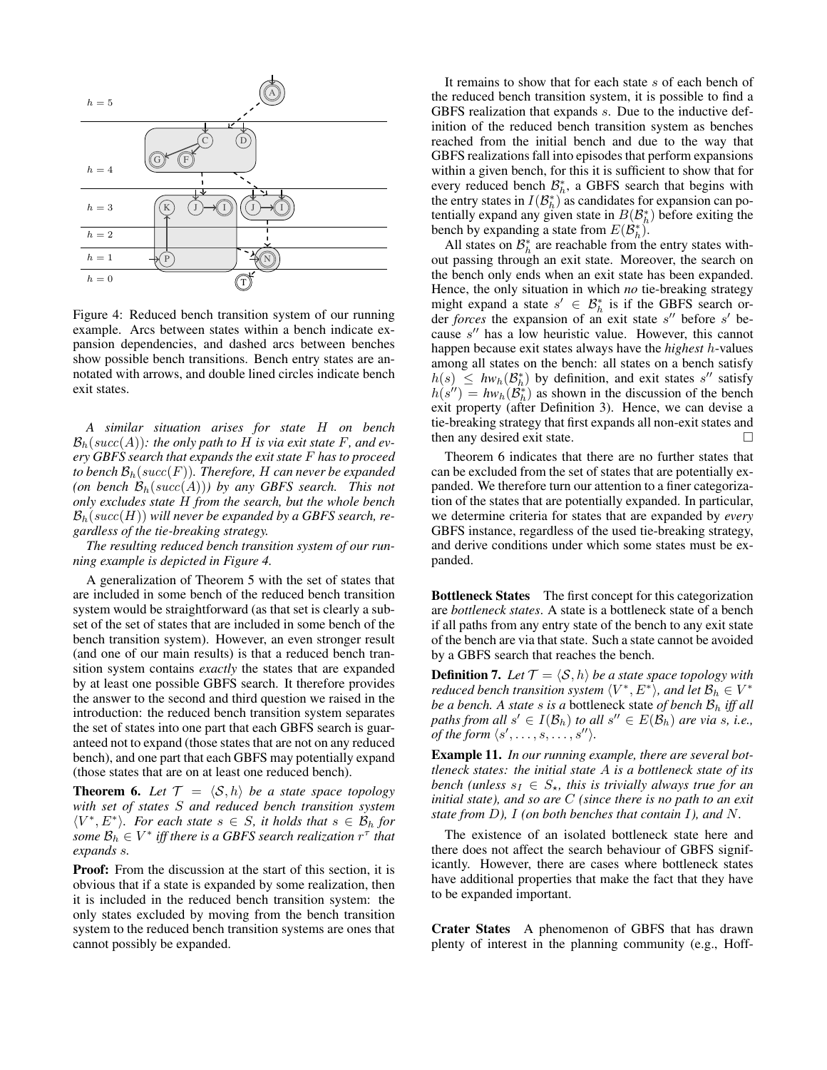

Figure 4: Reduced bench transition system of our running example. Arcs between states within a bench indicate expansion dependencies, and dashed arcs between benches show possible bench transitions. Bench entry states are annotated with arrows, and double lined circles indicate bench exit states.

*A similar situation arises for state* H *on bench*  $\mathcal{B}_h(succ(A))$ : the only path to H is via exit state F, and ev*ery GBFS search that expands the exit state* F *has to proceed to bench*  $\mathcal{B}_h(succ(F))$ *. Therefore, H can never be expanded* (on bench  $\mathcal{B}_h(succ(A))$ ) by any GBFS search. This not *only excludes state* H *from the search, but the whole bench*  $\mathcal{B}_h(succ(H))$  will never be expanded by a GBFS search, re*gardless of the tie-breaking strategy.*

*The resulting reduced bench transition system of our running example is depicted in Figure 4.*

A generalization of Theorem 5 with the set of states that are included in some bench of the reduced bench transition system would be straightforward (as that set is clearly a subset of the set of states that are included in some bench of the bench transition system). However, an even stronger result (and one of our main results) is that a reduced bench transition system contains *exactly* the states that are expanded by at least one possible GBFS search. It therefore provides the answer to the second and third question we raised in the introduction: the reduced bench transition system separates the set of states into one part that each GBFS search is guaranteed not to expand (those states that are not on any reduced bench), and one part that each GBFS may potentially expand (those states that are on at least one reduced bench).

**Theorem 6.** Let  $\mathcal{T} = \langle \mathcal{S}, h \rangle$  be a state space topology *with set of states* S *and reduced bench transition system*  $\langle V^*, E^* \rangle$ *. For each state*  $s \in S$ *, it holds that*  $s \in \mathcal{B}_h$  for  $some\ \mathcal{B}_h\in V^*\ if\$  there is a GBFS search realization  $r^\tau$  that *expands* s*.*

Proof: From the discussion at the start of this section, it is obvious that if a state is expanded by some realization, then it is included in the reduced bench transition system: the only states excluded by moving from the bench transition system to the reduced bench transition systems are ones that cannot possibly be expanded.

It remains to show that for each state s of each bench of the reduced bench transition system, it is possible to find a GBFS realization that expands s. Due to the inductive definition of the reduced bench transition system as benches reached from the initial bench and due to the way that GBFS realizations fall into episodes that perform expansions within a given bench, for this it is sufficient to show that for every reduced bench  $\mathcal{B}_{h}^{*}$ , a GBFS search that begins with the entry states in  $I(\mathcal{B}_{h}^{*})$  as candidates for expansion can potentially expand any given state in  $B(\mathcal{B}_{h}^{*})$  before exiting the bench by expanding a state from  $E(\mathcal{B}_{h}^{*})$ .

All states on  $\mathcal{B}_{h}^{*}$  are reachable from the entry states without passing through an exit state. Moreover, the search on the bench only ends when an exit state has been expanded. Hence, the only situation in which *no* tie-breaking strategy might expand a state  $s' \in \mathcal{B}_{h}^{*}$  is if the GBFS search order *forces* the expansion of an exit state s" before s' because  $s''$  has a low heuristic value. However, this cannot happen because exit states always have the *highest* h-values among all states on the bench: all states on a bench satisfy  $h(s) \leq hw_h(\mathcal{B}_h^*)$  by definition, and exit states s'' satisfy  $h(s'') = hw_h(\mathcal{B}_h^*)$  as shown in the discussion of the bench exit property (after Definition 3). Hence, we can devise a tie-breaking strategy that first expands all non-exit states and then any desired exit state.

Theorem 6 indicates that there are no further states that can be excluded from the set of states that are potentially expanded. We therefore turn our attention to a finer categorization of the states that are potentially expanded. In particular, we determine criteria for states that are expanded by *every* GBFS instance, regardless of the used tie-breaking strategy, and derive conditions under which some states must be expanded.

Bottleneck States The first concept for this categorization are *bottleneck states*. A state is a bottleneck state of a bench if all paths from any entry state of the bench to any exit state of the bench are via that state. Such a state cannot be avoided by a GBFS search that reaches the bench.

**Definition 7.** Let  $\mathcal{T} = \langle \mathcal{S}, h \rangle$  be a state space topology with reduced bench transition system  $\langle V^*, E^* \rangle$ , and let  $\mathcal{B}_h \in V^*$ *be a bench. A state* s *is a* bottleneck state *of bench* B<sup>h</sup> *iff all* paths from all  $s' \in I(\mathcal{B}_h)$  to all  $s'' \in E(\mathcal{B}_h)$  are via  $s$ , i.e., *of the form*  $\langle s', \ldots, s, \ldots, s'' \rangle$ .

Example 11. *In our running example, there are several bottleneck states: the initial state* A *is a bottleneck state of its bench (unless*  $s_I \in S_{\star}$ , this is trivially always true for an *initial state), and so are* C *(since there is no path to an exit state from* D*),* I *(on both benches that contain* I*), and* N*.*

The existence of an isolated bottleneck state here and there does not affect the search behaviour of GBFS significantly. However, there are cases where bottleneck states have additional properties that make the fact that they have to be expanded important.

Crater States A phenomenon of GBFS that has drawn plenty of interest in the planning community (e.g., Hoff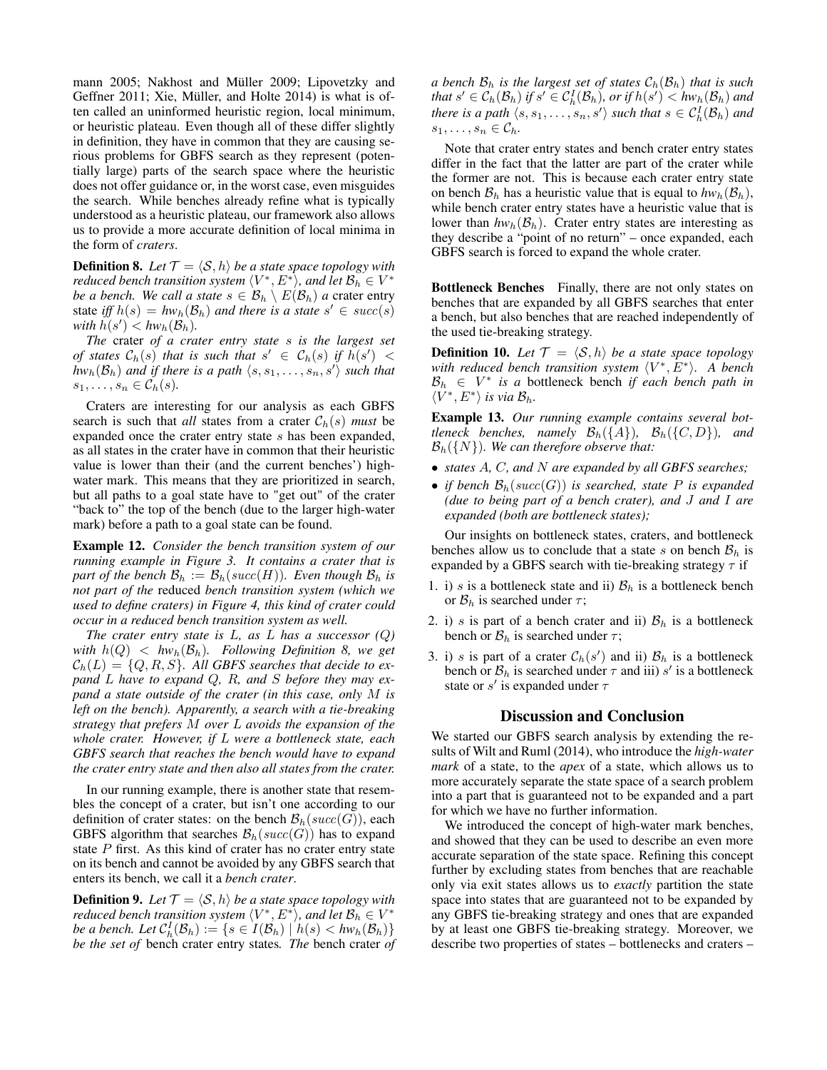mann 2005; Nakhost and Müller 2009; Lipovetzky and Geffner 2011; Xie, Müller, and Holte 2014) is what is often called an uninformed heuristic region, local minimum, or heuristic plateau. Even though all of these differ slightly in definition, they have in common that they are causing serious problems for GBFS search as they represent (potentially large) parts of the search space where the heuristic does not offer guidance or, in the worst case, even misguides the search. While benches already refine what is typically understood as a heuristic plateau, our framework also allows us to provide a more accurate definition of local minima in the form of *craters*.

**Definition 8.** Let  $\mathcal{T} = \langle \mathcal{S}, h \rangle$  *be a state space topology with reduced bench transition system*  $\langle V^*, E^* \rangle$ *, and let*  $\mathcal{B}_h \in V^*$ *be a bench. We call a state*  $s \in \mathcal{B}_h \setminus E(\mathcal{B}_h)$  *a* crater entry state *iff*  $h(s) = hw_h(\mathcal{B}_h)$  *and there is a state*  $s' \in succ(s)$ with  $\tilde{h}(s') < h w_h(\mathcal{B}_h)$ .

*The* crater *of a crater entry state* s *is the largest set of states*  $C_h(s)$  *that is such that*  $s' \in C_h(s)$  *if*  $h(s') <$  $\hat{hw}_h(\mathcal{B}_h)$  and if there is a path  $\langle s, s_1, \ldots, s_n, s' \rangle$  such that  $s_1, \ldots, s_n \in C_h(s)$ .

Craters are interesting for our analysis as each GBFS search is such that *all* states from a crater  $C_h(s)$  *must* be expanded once the crater entry state s has been expanded, as all states in the crater have in common that their heuristic value is lower than their (and the current benches') highwater mark. This means that they are prioritized in search, but all paths to a goal state have to "get out" of the crater "back to" the top of the bench (due to the larger high-water mark) before a path to a goal state can be found.

Example 12. *Consider the bench transition system of our running example in Figure 3. It contains a crater that is part of the bench*  $\mathcal{B}_h := \mathcal{B}_h(succ(H))$ *. Even though*  $\mathcal{B}_h$  *is not part of the* reduced *bench transition system (which we used to define craters) in Figure 4, this kind of crater could occur in a reduced bench transition system as well.*

*The crater entry state is* L*, as* L *has a successor (*Q*) with*  $h(Q) < hw_h(\mathcal{B}_h)$ *. Following Definition 8, we get*  $\mathcal{C}_h(L) = \{Q, R, S\}$ . All GBFS searches that decide to ex*pand* L *have to expand* Q*,* R*, and* S *before they may expand a state outside of the crater (in this case, only* M *is left on the bench). Apparently, a search with a tie-breaking strategy that prefers* M *over* L *avoids the expansion of the whole crater. However, if* L *were a bottleneck state, each GBFS search that reaches the bench would have to expand the crater entry state and then also all states from the crater.*

In our running example, there is another state that resembles the concept of a crater, but isn't one according to our definition of crater states: on the bench  $\mathcal{B}_h(succ(G))$ , each GBFS algorithm that searches  $\mathcal{B}_h(succ(G))$  has to expand state  $P$  first. As this kind of crater has no crater entry state on its bench and cannot be avoided by any GBFS search that enters its bench, we call it a *bench crater*.

**Definition 9.** Let  $\mathcal{T} = \langle \mathcal{S}, h \rangle$  *be a state space topology with reduced bench transition system*  $\langle V^*, E^* \rangle$ *, and let*  $\mathcal{B}_h \in V^*$ *be a bench. Let*  $C_h^I(\mathcal{B}_h) := \{s \in I(\mathcal{B}_h) \mid h(s) < hw_h(\mathcal{B}_h)\}$ *be the set of* bench crater entry states*. The* bench crater *of* *a bench*  $\mathcal{B}_h$  *is the largest set of states*  $\mathcal{C}_h(\mathcal{B}_h)$  *that is such that*  $s' \in C_h(\mathcal{B}_h)$  *if*  $s' \in C_h^I(\mathcal{B}_h)$ *, or if*  $h(s') < hw_h(\mathcal{B}_h)$  *and there is a path*  $\langle s, s_1, \ldots, s_n, s' \rangle$  *such that*  $s \in C_h^I(\mathcal{B}_h)$  *and*  $s_1, \ldots, s_n \in \mathcal{C}_h$ .

Note that crater entry states and bench crater entry states differ in the fact that the latter are part of the crater while the former are not. This is because each crater entry state on bench  $\mathcal{B}_h$  has a heuristic value that is equal to  $hw_h(\mathcal{B}_h)$ , while bench crater entry states have a heuristic value that is lower than  $hw_h(\mathcal{B}_h)$ . Crater entry states are interesting as they describe a "point of no return" – once expanded, each GBFS search is forced to expand the whole crater.

Bottleneck Benches Finally, there are not only states on benches that are expanded by all GBFS searches that enter a bench, but also benches that are reached independently of the used tie-breaking strategy.

**Definition 10.** Let  $\mathcal{T} = \langle \mathcal{S}, h \rangle$  be a state space topology with reduced bench transition system  $\langle V^*, E^* \rangle$ . A bench  $B_h \in V^*$  is a bottleneck bench *if each bench path in*  $\langle V^*, E^* \rangle$  is via  $\mathcal{B}_h$ .

Example 13. *Our running example contains several bottleneck benches, namely*  $\mathcal{B}_h({A}), \mathcal{B}_h({C, D}),$  and Bh({N})*. We can therefore observe that:*

- *states* A*,* C*, and* N *are expanded by all GBFS searches;*
- *if bench*  $\mathcal{B}_h(succ(G))$  *is searched, state* P *is expanded (due to being part of a bench crater), and* J *and* I *are expanded (both are bottleneck states);*

Our insights on bottleneck states, craters, and bottleneck benches allow us to conclude that a state s on bench  $\mathcal{B}_h$  is expanded by a GBFS search with tie-breaking strategy  $\tau$  if

- 1. i) s is a bottleneck state and ii)  $\mathcal{B}_h$  is a bottleneck bench or  $\mathcal{B}_h$  is searched under  $\tau$ ;
- 2. i) s is part of a bench crater and ii)  $B<sub>h</sub>$  is a bottleneck bench or  $\mathcal{B}_h$  is searched under  $\tau$ ;
- 3. i) s is part of a crater  $C_h(s')$  and ii)  $B_h$  is a bottleneck bench or  $\mathcal{B}_h$  is searched under  $\tau$  and iii) s' is a bottleneck state or  $s'$  is expanded under  $\tau$

#### Discussion and Conclusion

We started our GBFS search analysis by extending the results of Wilt and Ruml (2014), who introduce the *high-water mark* of a state, to the *apex* of a state, which allows us to more accurately separate the state space of a search problem into a part that is guaranteed not to be expanded and a part for which we have no further information.

We introduced the concept of high-water mark benches, and showed that they can be used to describe an even more accurate separation of the state space. Refining this concept further by excluding states from benches that are reachable only via exit states allows us to *exactly* partition the state space into states that are guaranteed not to be expanded by any GBFS tie-breaking strategy and ones that are expanded by at least one GBFS tie-breaking strategy. Moreover, we describe two properties of states – bottlenecks and craters –